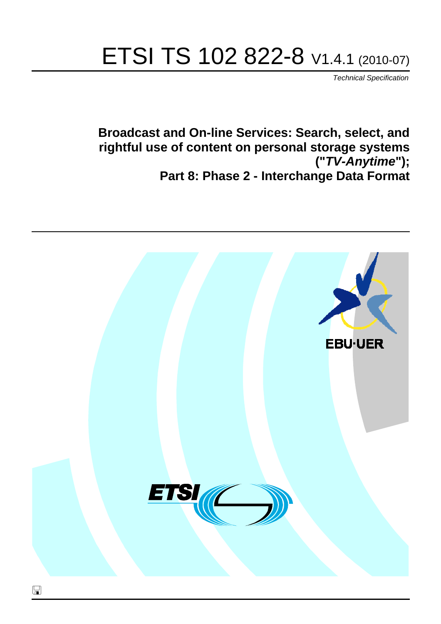# ETSI TS 102 822-8 V1.4.1 (2010-07)

*Technical Specification*

**Broadcast and On-line Services: Search, select, and rightful use of content on personal storage systems ("***TV-Anytime***"); Part 8: Phase 2 - Interchange Data Format**

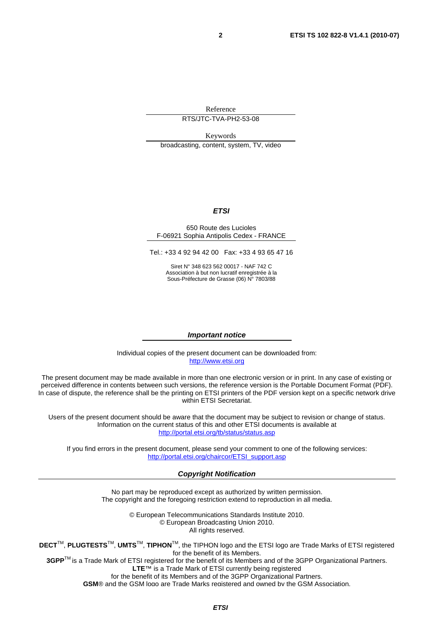Reference

RTS/JTC-TVA-PH2-53-08

Keywords broadcasting, content, system, TV, video

#### *ETSI*

#### 650 Route des Lucioles F-06921 Sophia Antipolis Cedex - FRANCE

Tel.: +33 4 92 94 42 00 Fax: +33 4 93 65 47 16

Siret N° 348 623 562 00017 - NAF 742 C Association à but non lucratif enregistrée à la Sous-Préfecture de Grasse (06) N° 7803/88

#### *Important notice*

Individual copies of the present document can be downloaded from: [http://www.etsi.org](http://www.etsi.org/)

The present document may be made available in more than one electronic version or in print. In any case of existing or perceived difference in contents between such versions, the reference version is the Portable Document Format (PDF). In case of dispute, the reference shall be the printing on ETSI printers of the PDF version kept on a specific network drive within ETSI Secretariat.

Users of the present document should be aware that the document may be subject to revision or change of status. Information on the current status of this and other ETSI documents is available at <http://portal.etsi.org/tb/status/status.asp>

If you find errors in the present document, please send your comment to one of the following services: [http://portal.etsi.org/chaircor/ETSI\\_support.asp](http://portal.etsi.org/chaircor/ETSI_support.asp)

#### *Copyright Notification*

No part may be reproduced except as authorized by written permission. The copyright and the foregoing restriction extend to reproduction in all media.

> © European Telecommunications Standards Institute 2010. © European Broadcasting Union 2010. All rights reserved.

**DECT**TM, **PLUGTESTS**TM, **UMTS**TM, **TIPHON**TM, the TIPHON logo and the ETSI logo are Trade Marks of ETSI registered for the benefit of its Members. **3GPP**TM is a Trade Mark of ETSI registered for the benefit of its Members and of the 3GPP Organizational Partners.

**LTE**™ is a Trade Mark of ETSI currently being registered

for the benefit of its Members and of the 3GPP Organizational Partners.

**GSM**® and the GSM logo are Trade Marks registered and owned by the GSM Association.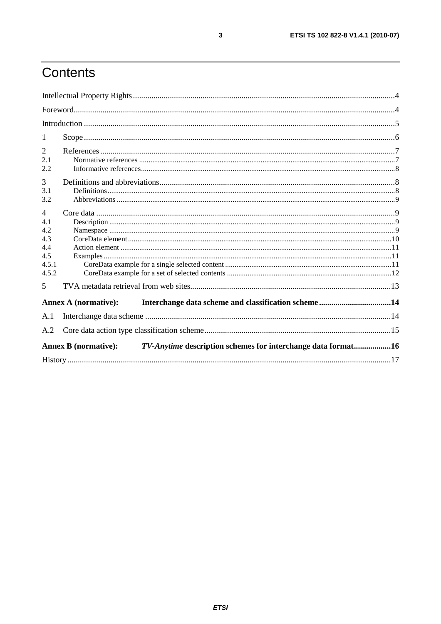# Contents

| 1                                                                                           |                             |  |  |  |
|---------------------------------------------------------------------------------------------|-----------------------------|--|--|--|
| 2                                                                                           |                             |  |  |  |
| 2.1                                                                                         |                             |  |  |  |
| 2.2                                                                                         |                             |  |  |  |
| $\overline{3}$                                                                              |                             |  |  |  |
| 3.1                                                                                         |                             |  |  |  |
| 3.2                                                                                         |                             |  |  |  |
| $\overline{4}$                                                                              |                             |  |  |  |
| 4.1                                                                                         |                             |  |  |  |
| 4.2                                                                                         |                             |  |  |  |
| 4.3                                                                                         |                             |  |  |  |
| 4.4                                                                                         |                             |  |  |  |
| 4.5                                                                                         |                             |  |  |  |
| 4.5.1                                                                                       |                             |  |  |  |
| 4.5.2                                                                                       |                             |  |  |  |
| 5                                                                                           |                             |  |  |  |
|                                                                                             | <b>Annex A (normative):</b> |  |  |  |
| A.1                                                                                         |                             |  |  |  |
| A.2                                                                                         |                             |  |  |  |
|                                                                                             |                             |  |  |  |
| TV-Anytime description schemes for interchange data format16<br><b>Annex B</b> (normative): |                             |  |  |  |
|                                                                                             |                             |  |  |  |

 $\mathbf{3}$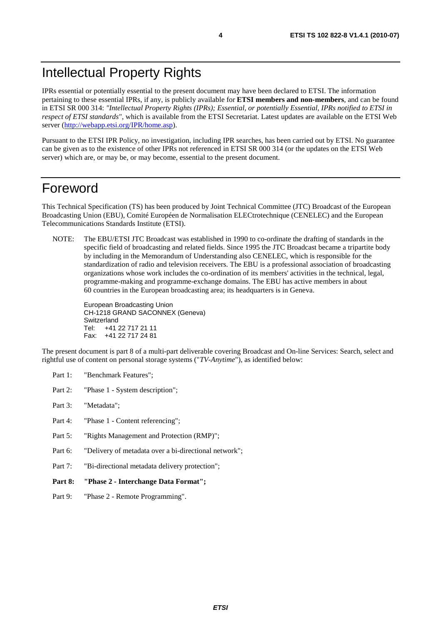IPRs essential or potentially essential to the present document may have been declared to ETSI. The information pertaining to these essential IPRs, if any, is publicly available for **ETSI members and non-members**, and can be found in ETSI SR 000 314: *"Intellectual Property Rights (IPRs); Essential, or potentially Essential, IPRs notified to ETSI in respect of ETSI standards"*, which is available from the ETSI Secretariat. Latest updates are available on the ETSI Web server [\(http://webapp.etsi.org/IPR/home.asp](http://webapp.etsi.org/IPR/home.asp)).

Pursuant to the ETSI IPR Policy, no investigation, including IPR searches, has been carried out by ETSI. No guarantee can be given as to the existence of other IPRs not referenced in ETSI SR 000 314 (or the updates on the ETSI Web server) which are, or may be, or may become, essential to the present document.

### Foreword

This Technical Specification (TS) has been produced by Joint Technical Committee (JTC) Broadcast of the European Broadcasting Union (EBU), Comité Européen de Normalisation ELECtrotechnique (CENELEC) and the European Telecommunications Standards Institute (ETSI).

NOTE: The EBU/ETSI JTC Broadcast was established in 1990 to co-ordinate the drafting of standards in the specific field of broadcasting and related fields. Since 1995 the JTC Broadcast became a tripartite body by including in the Memorandum of Understanding also CENELEC, which is responsible for the standardization of radio and television receivers. The EBU is a professional association of broadcasting organizations whose work includes the co-ordination of its members' activities in the technical, legal, programme-making and programme-exchange domains. The EBU has active members in about 60 countries in the European broadcasting area; its headquarters is in Geneva.

European Broadcasting Union CH-1218 GRAND SACONNEX (Geneva) Switzerland Tel: +41 22 717 21 11 Fax: +41 22 717 24 81

The present document is part 8 of a multi-part deliverable covering Broadcast and On-line Services: Search, select and rightful use of content on personal storage systems ("*TV-Anytime*"), as identified below:

- Part 1: "Benchmark Features";
- Part 2: "Phase 1 System description";
- Part 3: "Metadata";
- Part 4: "Phase 1 Content referencing":
- Part 5: "Rights Management and Protection (RMP)";
- Part 6: "Delivery of metadata over a bi-directional network";
- Part 7: "Bi-directional metadata delivery protection";
- **Part 8: "Phase 2 Interchange Data Format";**
- Part 9: "Phase 2 Remote Programming".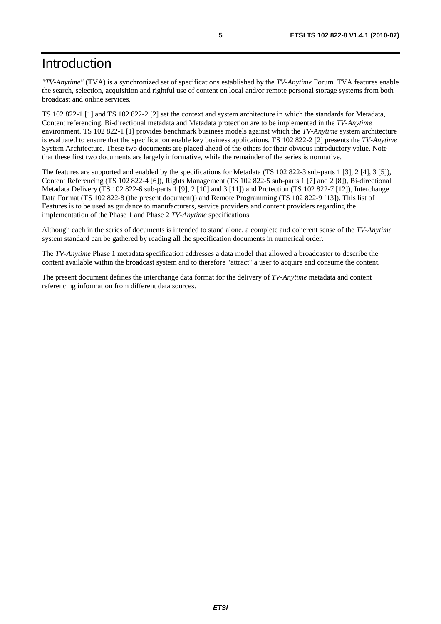# Introduction

*"TV-Anytime"* (TVA) is a synchronized set of specifications established by the *TV-Anytime* Forum. TVA features enable the search, selection, acquisition and rightful use of content on local and/or remote personal storage systems from both broadcast and online services.

TS 102 822-1 [1] and TS 102 822-2 [2] set the context and system architecture in which the standards for Metadata, Content referencing, Bi-directional metadata and Metadata protection are to be implemented in the *TV-Anytime* environment. TS 102 822-1 [1] provides benchmark business models against which the *TV-Anytime* system architecture is evaluated to ensure that the specification enable key business applications. TS 102 822-2 [2] presents the *TV-Anytime* System Architecture. These two documents are placed ahead of the others for their obvious introductory value. Note that these first two documents are largely informative, while the remainder of the series is normative.

The features are supported and enabled by the specifications for Metadata (TS 102 822-3 sub-parts 1 [3], 2 [4], 3 [5]), Content Referencing (TS 102 822-4 [6]), Rights Management (TS 102 822-5 sub-parts 1 [7] and 2 [8]), Bi-directional Metadata Delivery (TS 102 822-6 sub-parts 1 [9], 2 [10] and 3 [11]) and Protection (TS 102 822-7 [12]), Interchange Data Format (TS 102 822-8 (the present document)) and Remote Programming (TS 102 822-9 [13]). This list of Features is to be used as guidance to manufacturers, service providers and content providers regarding the implementation of the Phase 1 and Phase 2 *TV-Anytime* specifications.

Although each in the series of documents is intended to stand alone, a complete and coherent sense of the *TV-Anytime* system standard can be gathered by reading all the specification documents in numerical order.

The *TV-Anytime* Phase 1 metadata specification addresses a data model that allowed a broadcaster to describe the content available within the broadcast system and to therefore "attract" a user to acquire and consume the content.

The present document defines the interchange data format for the delivery of *TV-Anytime* metadata and content referencing information from different data sources.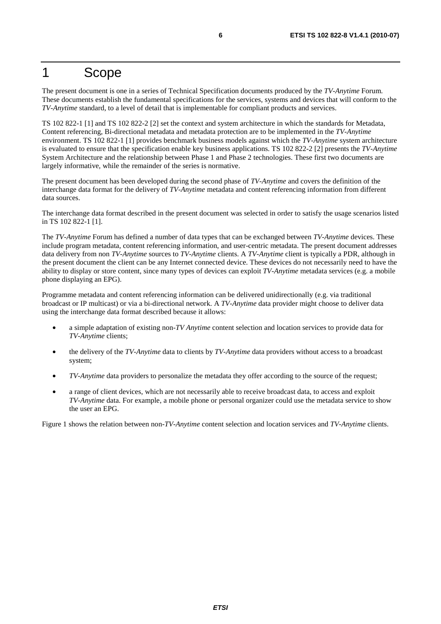### 1 Scope

The present document is one in a series of Technical Specification documents produced by the *TV-Anytime* Forum. These documents establish the fundamental specifications for the services, systems and devices that will conform to the *TV-Anytime* standard, to a level of detail that is implementable for compliant products and services.

TS 102 822-1 [1] and TS 102 822-2 [2] set the context and system architecture in which the standards for Metadata, Content referencing, Bi-directional metadata and metadata protection are to be implemented in the *TV-Anytime* environment. TS 102 822-1 [1] provides benchmark business models against which the *TV-Anytime* system architecture is evaluated to ensure that the specification enable key business applications. TS 102 822-2 [2] presents the *TV-Anytime* System Architecture and the relationship between Phase 1 and Phase 2 technologies. These first two documents are largely informative, while the remainder of the series is normative.

The present document has been developed during the second phase of *TV-Anytime* and covers the definition of the interchange data format for the delivery of *TV-Anytime* metadata and content referencing information from different data sources.

The interchange data format described in the present document was selected in order to satisfy the usage scenarios listed in TS 102 822-1 [1].

The *TV-Anytime* Forum has defined a number of data types that can be exchanged between *TV-Anytime* devices. These include program metadata, content referencing information, and user-centric metadata. The present document addresses data delivery from non *TV-Anytime* sources to *TV-Anytime* clients. A *TV-Anytime* client is typically a PDR, although in the present document the client can be any Internet connected device. These devices do not necessarily need to have the ability to display or store content, since many types of devices can exploit *TV-Anytime* metadata services (e.g. a mobile phone displaying an EPG).

Programme metadata and content referencing information can be delivered unidirectionally (e.g. via traditional broadcast or IP multicast) or via a bi-directional network. A *TV-Anytime* data provider might choose to deliver data using the interchange data format described because it allows:

- a simple adaptation of existing non-*TV Anytime* content selection and location services to provide data for *TV-Anytime* clients;
- the delivery of the *TV-Anytime* data to clients by *TV-Anytime* data providers without access to a broadcast system;
- *TV-Anytime* data providers to personalize the metadata they offer according to the source of the request;
- a range of client devices, which are not necessarily able to receive broadcast data, to access and exploit *TV-Anytime* data. For example, a mobile phone or personal organizer could use the metadata service to show the user an EPG.

Figure 1 shows the relation between non-*TV-Anytime* content selection and location services and *TV-Anytime* clients.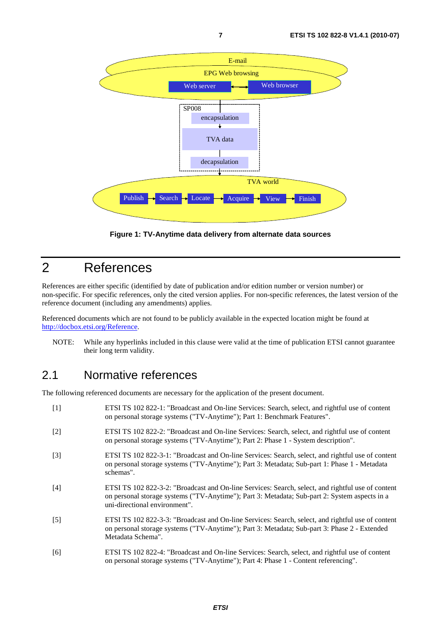

**Figure 1: TV-Anytime data delivery from alternate data sources** 

# 2 References

References are either specific (identified by date of publication and/or edition number or version number) or non-specific. For specific references, only the cited version applies. For non-specific references, the latest version of the reference document (including any amendments) applies.

Referenced documents which are not found to be publicly available in the expected location might be found at <http://docbox.etsi.org/Reference>.

NOTE: While any hyperlinks included in this clause were valid at the time of publication ETSI cannot guarantee their long term validity.

#### 2.1 Normative references

The following referenced documents are necessary for the application of the present document.

| $[1]$             | ETSI TS 102 822-1: "Broadcast and On-line Services: Search, select, and rightful use of content<br>on personal storage systems ("TV-Anytime"); Part 1: Benchmark Features".                                                         |
|-------------------|-------------------------------------------------------------------------------------------------------------------------------------------------------------------------------------------------------------------------------------|
| $[2]$             | ETSI TS 102 822-2: "Broadcast and On-line Services: Search, select, and rightful use of content<br>on personal storage systems ("TV-Anytime"); Part 2: Phase 1 - System description".                                               |
| $\lceil 3 \rceil$ | ETSI TS 102 822-3-1: "Broadcast and On-line Services: Search, select, and rightful use of content<br>on personal storage systems ("TV-Anytime"); Part 3: Metadata; Sub-part 1: Phase 1 - Metadata<br>schemas".                      |
| [4]               | ETSI TS 102 822-3-2: "Broadcast and On-line Services: Search, select, and rightful use of content<br>on personal storage systems ("TV-Anytime"); Part 3: Metadata; Sub-part 2: System aspects in a<br>uni-directional environment". |
| $\lceil 5 \rceil$ | ETSI TS 102 822-3-3: "Broadcast and On-line Services: Search, select, and rightful use of content<br>on personal storage systems ("TV-Anytime"); Part 3: Metadata; Sub-part 3: Phase 2 - Extended<br>Metadata Schema".              |
| [6]               | ETSI TS 102 822-4: "Broadcast and On-line Services: Search, select, and rightful use of content<br>on personal storage systems ("TV-Anytime"); Part 4: Phase 1 - Content referencing".                                              |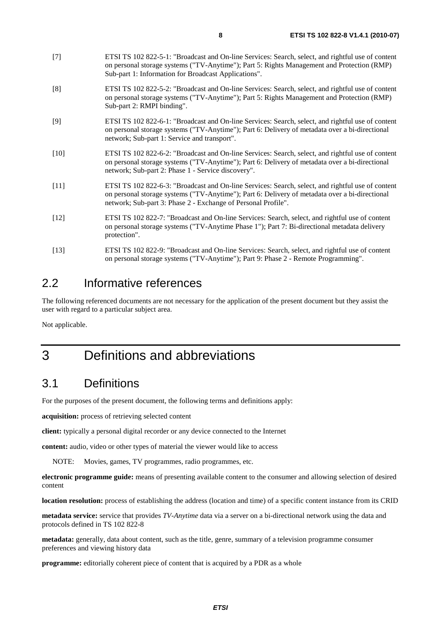- [7] ETSI TS 102 822-5-1: "Broadcast and On-line Services: Search, select, and rightful use of content on personal storage systems ("TV-Anytime"); Part 5: Rights Management and Protection (RMP) Sub-part 1: Information for Broadcast Applications".
- [8] ETSI TS 102 822-5-2: "Broadcast and On-line Services: Search, select, and rightful use of content on personal storage systems ("TV-Anytime"); Part 5: Rights Management and Protection (RMP) Sub-part 2: RMPI binding".
- [9] ETSI TS 102 822-6-1: "Broadcast and On-line Services: Search, select, and rightful use of content on personal storage systems ("TV-Anytime"); Part 6: Delivery of metadata over a bi-directional network; Sub-part 1: Service and transport".
- [10] ETSI TS 102 822-6-2: "Broadcast and On-line Services: Search, select, and rightful use of content on personal storage systems ("TV-Anytime"); Part 6: Delivery of metadata over a bi-directional network; Sub-part 2: Phase 1 - Service discovery".
- [11] ETSI TS 102 822-6-3: "Broadcast and On-line Services: Search, select, and rightful use of content on personal storage systems ("TV-Anytime"); Part 6: Delivery of metadata over a bi-directional network; Sub-part 3: Phase 2 - Exchange of Personal Profile".
- [12] ETSI TS 102 822-7: "Broadcast and On-line Services: Search, select, and rightful use of content on personal storage systems ("TV-Anytime Phase 1"); Part 7: Bi-directional metadata delivery protection".
- [13] ETSI TS 102 822-9: "Broadcast and On-line Services: Search, select, and rightful use of content on personal storage systems ("TV-Anytime"); Part 9: Phase 2 - Remote Programming".

### 2.2 Informative references

The following referenced documents are not necessary for the application of the present document but they assist the user with regard to a particular subject area.

Not applicable.

# 3 Definitions and abbreviations

### 3.1 Definitions

For the purposes of the present document, the following terms and definitions apply:

**acquisition:** process of retrieving selected content

**client:** typically a personal digital recorder or any device connected to the Internet

**content:** audio, video or other types of material the viewer would like to access

NOTE: Movies, games, TV programmes, radio programmes, etc.

**electronic programme guide:** means of presenting available content to the consumer and allowing selection of desired content

**location resolution:** process of establishing the address (location and time) of a specific content instance from its CRID

**metadata service:** service that provides *TV-Anytime* data via a server on a bi-directional network using the data and protocols defined in TS 102 822-8

**metadata:** generally, data about content, such as the title, genre, summary of a television programme consumer preferences and viewing history data

**programme:** editorially coherent piece of content that is acquired by a PDR as a whole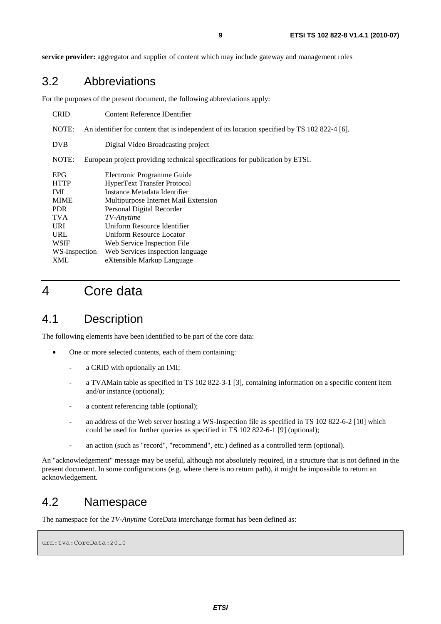**service provider:** aggregator and supplier of content which may include gateway and management roles

#### 3.2 Abbreviations

For the purposes of the present document, the following abbreviations apply:

| <b>CRID</b>   | Content Reference IDentifier                                                                 |  |  |
|---------------|----------------------------------------------------------------------------------------------|--|--|
| NOTE:         | An identifier for content that is independent of its location specified by TS 102 822-4 [6]. |  |  |
| <b>DVB</b>    | Digital Video Broadcasting project                                                           |  |  |
| NOTE:         | European project providing technical specifications for publication by ETSI.                 |  |  |
| <b>EPG</b>    | Electronic Programme Guide                                                                   |  |  |
| <b>HTTP</b>   | <b>HyperText Transfer Protocol</b>                                                           |  |  |
| IMI           | Instance Metadata Identifier                                                                 |  |  |
| <b>MIME</b>   | Multipurpose Internet Mail Extension                                                         |  |  |
| <b>PDR</b>    | Personal Digital Recorder                                                                    |  |  |
| <b>TVA</b>    | TV-Anytime                                                                                   |  |  |
| <b>URI</b>    | Uniform Resource Identifier                                                                  |  |  |
| URL           | Uniform Resource Locator                                                                     |  |  |
| <b>WSIF</b>   | Web Service Inspection File                                                                  |  |  |
| WS-Inspection | Web Services Inspection language                                                             |  |  |
| XML           | eXtensible Markup Language                                                                   |  |  |

# 4 Core data

#### 4.1 Description

The following elements have been identified to be part of the core data:

- One or more selected contents, each of them containing:
	- a CRID with optionally an IMI;
	- a TVAMain table as specified in TS 102 822-3-1 [3], containing information on a specific content item and/or instance (optional);
	- a content referencing table (optional);
	- an address of the Web server hosting a WS-Inspection file as specified in TS 102 822-6-2 [10] which could be used for further queries as specified in TS 102 822-6-1 [9] (optional);
	- an action (such as "record", "recommend", etc.) defined as a controlled term (optional).

An "acknowledgement" message may be useful, although not absolutely required, in a structure that is not defined in the present document. In some configurations (e.g. where there is no return path), it might be impossible to return an acknowledgement.

#### 4.2 Namespace

The namespace for the *TV-Anytime* CoreData interchange format has been defined as:

```
urn:tva:CoreData:2010
```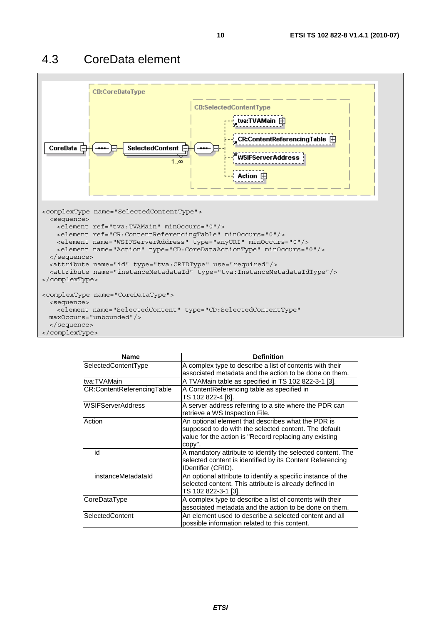

| <b>Name</b>                | <b>Definition</b>                                                                                                                                                               |
|----------------------------|---------------------------------------------------------------------------------------------------------------------------------------------------------------------------------|
| SelectedContentType        | A complex type to describe a list of contents with their<br>associated metadata and the action to be done on them.                                                              |
| Itva:TVAMain               | A TVAMain table as specified in TS 102 822-3-1 [3].                                                                                                                             |
| CR:ContentReferencingTable | A ContentReferencing table as specified in<br>TS 102 822-4 [6].                                                                                                                 |
| <b>IWSIFServerAddress</b>  | A server address referring to a site where the PDR can<br>retrieve a WS Inspection File.                                                                                        |
| Action                     | An optional element that describes what the PDR is<br>supposed to do with the selected content. The default<br>value for the action is "Record replacing any existing<br>copy". |
| id                         | A mandatory attribute to identify the selected content. The<br>selected content is identified by its Content Referencing<br>IDentifier (CRID).                                  |
| instanceMetadataId         | An optional attribute to identify a specific instance of the<br>selected content. This attribute is already defined in<br>TS 102 822-3-1 [3].                                   |
| CoreDataType               | A complex type to describe a list of contents with their<br>associated metadata and the action to be done on them.                                                              |
| SelectedContent            | An element used to describe a selected content and all<br>possible information related to this content.                                                                         |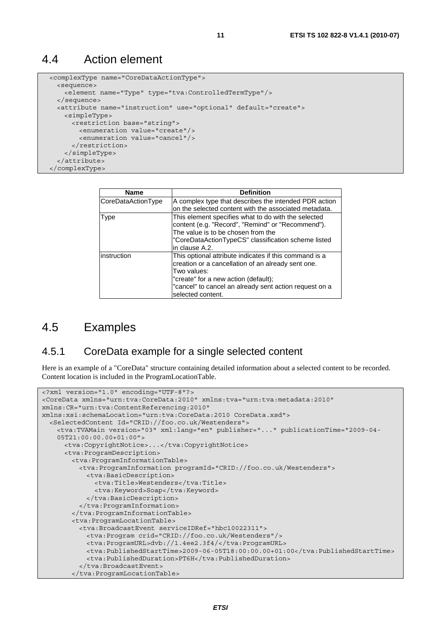#### 4.4 Action element

```
 <complexType name="CoreDataActionType"> 
  <sequence> 
    <element name="Type" type="tva:ControlledTermType"/> 
  </sequence> 
  <attribute name="instruction" use="optional" default="create"> 
    <simpleType> 
       <restriction base="string"> 
         <enumeration value="create"/> 
         <enumeration value="cancel"/> 
       </restriction> 
     </simpleType> 
   </attribute> 
 </complexType>
```

| <b>Name</b>        | <b>Definition</b>                                                                                                                                                                                                                                  |  |
|--------------------|----------------------------------------------------------------------------------------------------------------------------------------------------------------------------------------------------------------------------------------------------|--|
| CoreDataActionType | A complex type that describes the intended PDR action                                                                                                                                                                                              |  |
|                    | on the selected content with the associated metadata.                                                                                                                                                                                              |  |
| <b>Type</b>        | This element specifies what to do with the selected<br>content (e.g. "Record", "Remind" or "Recommend").<br>The value is to be chosen from the<br>"CoreDataActionTypeCS" classification scheme listed<br>in clause A.2.                            |  |
| instruction        | This optional attribute indicates if this command is a<br>creation or a cancellation of an already sent one.<br>Two values:<br>"create" for a new action (default);<br>"cancel" to cancel an already sent action request on a<br>selected content. |  |

#### 4.5 Examples

#### 4.5.1 CoreData example for a single selected content

Here is an example of a "CoreData" structure containing detailed information about a selected content to be recorded. Content location is included in the ProgramLocationTable.

```
<?xml version="1.0" encoding="UTF-8"?> 
<CoreData xmlns="urn:tva:CoreData:2010" xmlns:tva="urn:tva:metadata:2010" 
xmlns:CR="urn:tva:ContentReferencing:2010" 
xmlns:xsi:schemaLocation="urn:tva:CoreData:2010 CoreData.xsd"> 
   <SelectedContent Id="CRID://foo.co.uk/Westenders"> 
     <tva:TVAMain version="03" xml:lang="en" publisher="..." publicationTime="2009-04- 
    05T21:00:00.00+01:00"> 
      <tva:CopyrightNotice>...</tva:CopyrightNotice> 
       <tva:ProgramDescription> 
        <tva:ProgramInformationTable> 
          <tva:ProgramInformation programId="CRID://foo.co.uk/Westenders"> 
            <tva:BasicDescription> 
              <tva:Title>Westenders</tva:Title> 
               <tva:Keyword>Soap</tva:Keyword> 
            </tva:BasicDescription> 
          </tva:ProgramInformation> 
         </tva:ProgramInformationTable> 
        <tva:ProgramLocationTable> 
          <tva:BroadcastEvent serviceIDRef="hbc10022311"> 
            <tva:Program crid="CRID://foo.co.uk/Westenders"/> 
            <tva:ProgramURL>dvb://1.4ee2.3f4/</tva:ProgramURL> 
            <tva:PublishedStartTime>2009-06-05T18:00:00.00+01:00</tva:PublishedStartTime> 
            <tva:PublishedDuration>PT6H</tva:PublishedDuration> 
           </tva:BroadcastEvent> 
         </tva:ProgramLocationTable>
```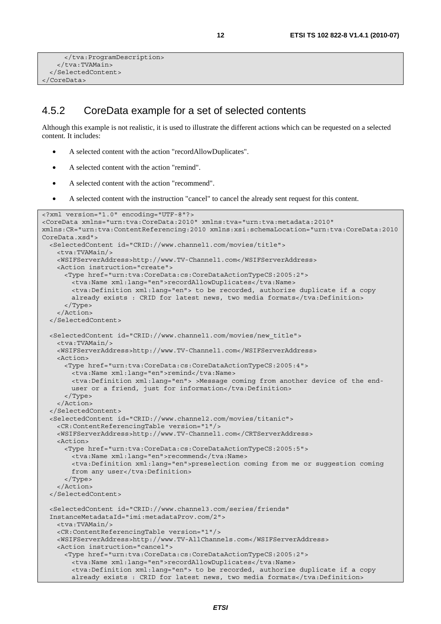```
 </tva:ProgramDescription> 
     </tva:TVAMain> 
   </SelectedContent> 
</CoreData>
```
#### 4.5.2 CoreData example for a set of selected contents

Although this example is not realistic, it is used to illustrate the different actions which can be requested on a selected content. It includes:

- A selected content with the action "recordAllowDuplicates".
- A selected content with the action "remind".
- A selected content with the action "recommend".
- A selected content with the instruction "cancel" to cancel the already sent request for this content.

```
<?xml version="1.0" encoding="UTF-8"?> 
<CoreData xmlns="urn:tva:CoreData:2010" xmlns:tva="urn:tva:metadata:2010" 
xmlns:CR="urn:tva:ContentReferencing:2010 xmlns:xsi:schemaLocation="urn:tva:CoreData:2010 
CoreData.xsd"> 
   <SelectedContent id="CRID://www.channel1.com/movies/title"> 
     <tva:TVAMain/> 
    <WSIFServerAddress>http://www.TV-Channel1.com</WSIFServerAddress> 
    <Action instruction="create"> 
      <Type href="urn:tva:CoreData:cs:CoreDataActionTypeCS:2005:2"> 
        <tva:Name xml:lang="en">recordAllowDuplicates</tva:Name> 
        <tva:Definition xml:lang="en"> to be recorded, authorize duplicate if a copy 
       already exists : CRID for latest news, two media formats</tva:Definition>
      </Type> 
     </Action> 
   </SelectedContent> 
   <SelectedContent id="CRID://www.channel1.com/movies/new_title"> 
    <tva:TVAMain/> 
    <WSIFServerAddress>http://www.TV-Channel1.com</WSIFServerAddress> 
    <Action> 
      <Type href="urn:tva:CoreData:cs:CoreDataActionTypeCS:2005:4"> 
        <tva:Name xml:lang="en">remind</tva:Name> 
        <tva:Definition xml:lang="en"> >Message coming from another device of the end- 
       user or a friend, just for information</tva:Definition>
      </Type> 
     </Action> 
   </SelectedContent> 
   <SelectedContent id="CRID://www.channel2.com/movies/titanic"> 
    <CR:ContentReferencingTable version="1"/> 
    <WSIFServerAddress>http://www.TV-Channel1.com</CRTServerAddress> 
    <Action> 
      <Type href="urn:tva:CoreData:cs:CoreDataActionTypeCS:2005:5"> 
        <tva:Name xml:lang="en">recommend</tva:Name> 
        <tva:Definition xml:lang="en">preselection coming from me or suggestion coming 
       from any user</tva:Definition>
      </Type> 
     </Action> 
   </SelectedContent> 
   <SelectedContent id="CRID://www.channel3.com/series/friends" 
  InstanceMetadataId="imi:metadataProv.com/2"> 
    <tva:TVAMain/> 
     <CR:ContentReferencingTable version="1"/> 
    <WSIFServerAddress>http://www.TV-AllChannels.com</WSIFServerAddress> 
    <Action instruction="cancel"> 
       <Type href="urn:tva:CoreData:cs:CoreDataActionTypeCS:2005:2"> 
        <tva:Name xml:lang="en">recordAllowDuplicates</tva:Name> 
        <tva:Definition xml:lang="en"> to be recorded, authorize duplicate if a copy 
       already exists : CRID for latest news, two media formats</tva:Definition>
```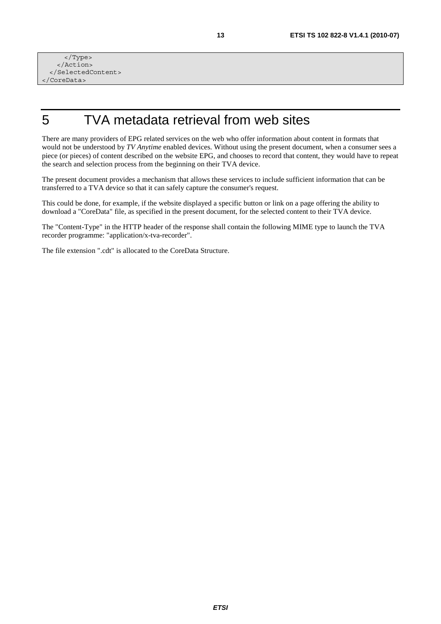</Type> </Action> </SelectedContent> </CoreData>

# 5 TVA metadata retrieval from web sites

There are many providers of EPG related services on the web who offer information about content in formats that would not be understood by *TV Anytime* enabled devices. Without using the present document, when a consumer sees a piece (or pieces) of content described on the website EPG, and chooses to record that content, they would have to repeat the search and selection process from the beginning on their TVA device.

The present document provides a mechanism that allows these services to include sufficient information that can be transferred to a TVA device so that it can safely capture the consumer's request.

This could be done, for example, if the website displayed a specific button or link on a page offering the ability to download a "CoreData" file, as specified in the present document, for the selected content to their TVA device.

The "Content-Type" in the HTTP header of the response shall contain the following MIME type to launch the TVA recorder programme: "application/x-tva-recorder".

The file extension ".cdt" is allocated to the CoreData Structure.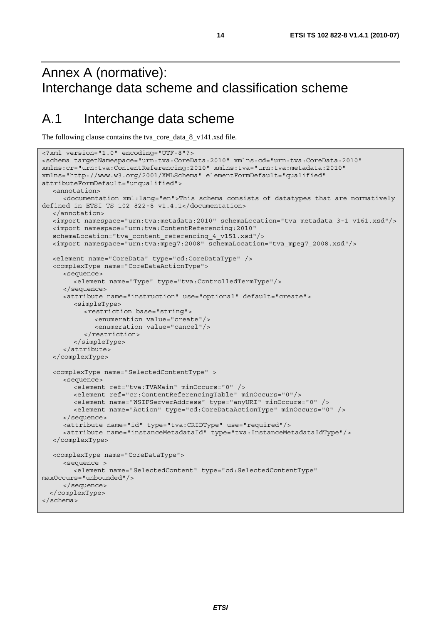# Annex A (normative): Interchange data scheme and classification scheme

## A.1 Interchange data scheme

The following clause contains the tva\_core\_data\_8\_v141.xsd file.

```
<?xml version="1.0" encoding="UTF-8"?> 
<schema targetNamespace="urn:tva:CoreData:2010" xmlns:cd="urn:tva:CoreData:2010" 
xmlns:cr="urn:tva:ContentReferencing:2010" xmlns:tva="urn:tva:metadata:2010" 
xmlns="http://www.w3.org/2001/XMLSchema" elementFormDefault="qualified" 
attributeFormDefault="unqualified"> 
   <annotation> 
      <documentation xml:lang="en">This schema consists of datatypes that are normatively 
defined in ETSI TS 102 822-8 v1.4.1</documentation> 
   </annotation> 
   <import namespace="urn:tva:metadata:2010" schemaLocation="tva_metadata_3-1_v161.xsd"/> 
   <import namespace="urn:tva:ContentReferencing:2010" 
   schemaLocation="tva_content_referencing_4_v151.xsd"/> 
   <import namespace="urn:tva:mpeg7:2008" schemaLocation="tva_mpeg7_2008.xsd"/> 
   <element name="CoreData" type="cd:CoreDataType" /> 
   <complexType name="CoreDataActionType"> 
      <sequence> 
         <element name="Type" type="tva:ControlledTermType"/> 
      </sequence> 
      <attribute name="instruction" use="optional" default="create"> 
         <simpleType> 
            <restriction base="string"> 
               <enumeration value="create"/> 
               <enumeration value="cancel"/> 
            </restriction> 
         </simpleType> 
      </attribute> 
   </complexType> 
   <complexType name="SelectedContentType" > 
      <sequence> 
         <element ref="tva:TVAMain" minOccurs="0" /> 
         <element ref="cr:ContentReferencingTable" minOccurs="0"/> 
         <element name="WSIFServerAddress" type="anyURI" minOccurs="0" /> 
         <element name="Action" type="cd:CoreDataActionType" minOccurs="0" /> 
      </sequence> 
      <attribute name="id" type="tva:CRIDType" use="required"/> 
      <attribute name="instanceMetadataId" type="tva:InstanceMetadataIdType"/> 
   </complexType> 
   <complexType name="CoreDataType"> 
      <sequence > 
         <element name="SelectedContent" type="cd:SelectedContentType" 
maxOccurs="unbounded"/> 
      </sequence> 
   </complexType> 
</schema>
```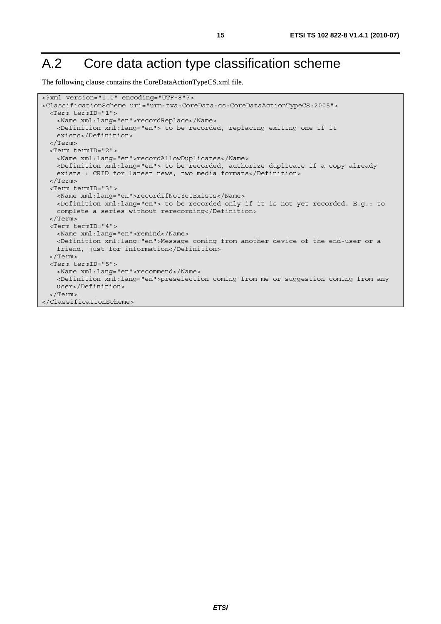# A.2 Core data action type classification scheme

The following clause contains the CoreDataActionTypeCS.xml file.

```
<?xml version="1.0" encoding="UTF-8"?> 
<ClassificationScheme uri="urn:tva:CoreData:cs:CoreDataActionTypeCS:2005"> 
  <Term termID="1"> 
    <Name xml:lang="en">recordReplace</Name> 
    <Definition xml:lang="en"> to be recorded, replacing exiting one if it 
    exists</Definition> 
   </Term> 
  <Term termID="2"> 
    <Name xml:lang="en">recordAllowDuplicates</Name> 
    <Definition xml:lang="en"> to be recorded, authorize duplicate if a copy already 
   exists : CRID for latest news, two media formats</Definition>
  </Term> 
  <Term termID="3"> 
    <Name xml:lang="en">recordIfNotYetExists</Name> 
    <Definition xml:lang="en"> to be recorded only if it is not yet recorded. E.g.: to 
   complete a series without rerecording</Definition>
  </Term> 
  <Term termID="4"> 
    <Name xml:lang="en">remind</Name> 
    <Definition xml:lang="en">Message coming from another device of the end-user or a 
    friend, just for information</Definition> 
  </Term> 
  <Term termID="5"> 
    <Name xml:lang="en">recommend</Name> 
    <Definition xml:lang="en">preselection coming from me or suggestion coming from any 
    user</Definition> 
   </Term> 
</ClassificationScheme>
```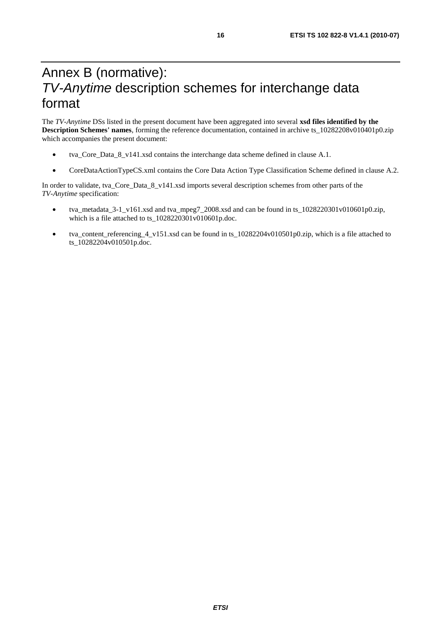# Annex B (normative): *TV-Anytime* description schemes for interchange data format

The *TV-Anytime* DSs listed in the present document have been aggregated into several **xsd files identified by the Description Schemes' names**, forming the reference documentation, contained in archive ts\_10282208v010401p0.zip which accompanies the present document:

- tva\_Core\_Data\_8\_v141.xsd contains the interchange data scheme defined in clause A.1.
- CoreDataActionTypeCS.xml contains the Core Data Action Type Classification Scheme defined in clause A.2.

In order to validate, tva\_Core\_Data\_8\_v141.xsd imports several description schemes from other parts of the *TV-Anytime* specification:

- tva\_metadata\_3-1\_v161.xsd and tva\_mpeg7\_2008.xsd and can be found in ts\_1028220301v010601p0.zip, which is a file attached to ts\_1028220301v010601p.doc.
- tva content referencing 4 v151.xsd can be found in ts  $10282204v010501p0.$ zip, which is a file attached to ts\_10282204v010501p.doc.